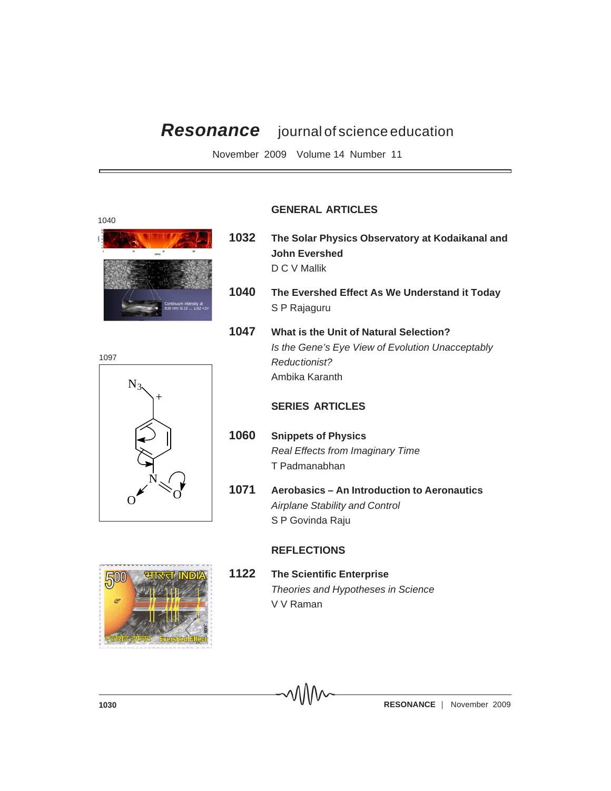# *Resonance* journal of science education

November 2009 Volume 14 Number 11





#### **GENERAL ARTICLES**

- **1032 The Solar Physics Observatory at Kodaikanal and John Evershed** D C V Mallik
- **1040 The Evershed Effect As We Understand it Today** S P Rajaguru
- **1047 What is the Unit of Natural Selection?** *Is the Gene's Eye View of Evolution Unacceptably Reductionist?* Ambika Karanth

### **SERIES ARTICLES**

- **1060 Snippets of Physics** *Real Effects from Imaginary Time* T Padmanabhan
- **1071 Aerobasics An Introduction to Aeronautics** *Airplane Stability and Control* S P Govinda Raju

#### **REFLECTIONS**



**1122 The Scientific Enterprise** *Theories and Hypotheses in Science* V V Raman